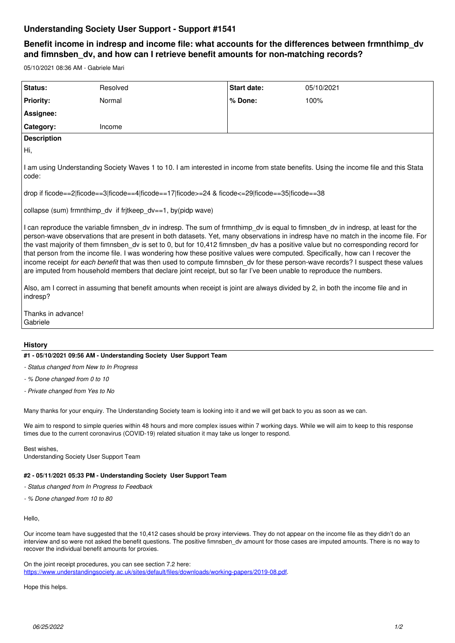# **Understanding Society User Support - Support #1541**

# **Benefit income in indresp and income file: what accounts for the differences between frmnthimp\_dv and fimnsben\_dv, and how can I retrieve benefit amounts for non-matching records?**

05/10/2021 08:36 AM - Gabriele Mari

| Status:                                                                                                                                                                                                                                                                                                                                                                                                                                                                                                                                                                                                                                                                                                                                                                                                                                                                                                                                                      | Resolved | <b>Start date:</b> | 05/10/2021 |
|--------------------------------------------------------------------------------------------------------------------------------------------------------------------------------------------------------------------------------------------------------------------------------------------------------------------------------------------------------------------------------------------------------------------------------------------------------------------------------------------------------------------------------------------------------------------------------------------------------------------------------------------------------------------------------------------------------------------------------------------------------------------------------------------------------------------------------------------------------------------------------------------------------------------------------------------------------------|----------|--------------------|------------|
| <b>Priority:</b>                                                                                                                                                                                                                                                                                                                                                                                                                                                                                                                                                                                                                                                                                                                                                                                                                                                                                                                                             | Normal   | % Done:            | 100%       |
| Assignee:                                                                                                                                                                                                                                                                                                                                                                                                                                                                                                                                                                                                                                                                                                                                                                                                                                                                                                                                                    |          |                    |            |
| Category:                                                                                                                                                                                                                                                                                                                                                                                                                                                                                                                                                                                                                                                                                                                                                                                                                                                                                                                                                    | Income   |                    |            |
| <b>Description</b>                                                                                                                                                                                                                                                                                                                                                                                                                                                                                                                                                                                                                                                                                                                                                                                                                                                                                                                                           |          |                    |            |
| Hi,                                                                                                                                                                                                                                                                                                                                                                                                                                                                                                                                                                                                                                                                                                                                                                                                                                                                                                                                                          |          |                    |            |
| I am using Understanding Society Waves 1 to 10. I am interested in income from state benefits. Using the income file and this Stata<br>code:                                                                                                                                                                                                                                                                                                                                                                                                                                                                                                                                                                                                                                                                                                                                                                                                                 |          |                    |            |
| drop if ficode==2 ficode==3 ficode==4 ficode==17 ficode>=24 & ficode<=29 ficode==35 ficode==38                                                                                                                                                                                                                                                                                                                                                                                                                                                                                                                                                                                                                                                                                                                                                                                                                                                               |          |                    |            |
| collapse (sum) frmnthimp dv if fritkeep $dv == 1$ , by (pidp wave)                                                                                                                                                                                                                                                                                                                                                                                                                                                                                                                                                                                                                                                                                                                                                                                                                                                                                           |          |                    |            |
| I can reproduce the variable fimnsben dv in indresp. The sum of frmnthimp dv is equal to fimnsben dv in indresp, at least for the<br>person-wave observations that are present in both datasets. Yet, many observations in indresp have no match in the income file. For<br>the vast majority of them fimnsben_dv is set to 0, but for 10,412 fimnsben_dv has a positive value but no corresponding record for<br>that person from the income file. I was wondering how these positive values were computed. Specifically, how can I recover the<br>income receipt for each benefit that was then used to compute fimnsben_dv for these person-wave records? I suspect these values<br>are imputed from household members that declare joint receipt, but so far I've been unable to reproduce the numbers.<br>Also, am I correct in assuming that benefit amounts when receipt is joint are always divided by 2, in both the income file and in<br>indresp? |          |                    |            |
| Thanks in advance!<br>Gabriele                                                                                                                                                                                                                                                                                                                                                                                                                                                                                                                                                                                                                                                                                                                                                                                                                                                                                                                               |          |                    |            |
|                                                                                                                                                                                                                                                                                                                                                                                                                                                                                                                                                                                                                                                                                                                                                                                                                                                                                                                                                              |          |                    |            |

## **History**

### **#1 - 05/10/2021 09:56 AM - Understanding Society User Support Team**

- *Status changed from New to In Progress*
- *% Done changed from 0 to 10*
- *Private changed from Yes to No*

Many thanks for your enquiry. The Understanding Society team is looking into it and we will get back to you as soon as we can.

We aim to respond to simple queries within 48 hours and more complex issues within 7 working days. While we will aim to keep to this response times due to the current coronavirus (COVID-19) related situation it may take us longer to respond.

Best wishes, Understanding Society User Support Team

### **#2 - 05/11/2021 05:33 PM - Understanding Society User Support Team**

- *Status changed from In Progress to Feedback*
- *% Done changed from 10 to 80*

#### Hello,

Our income team have suggested that the 10,412 cases should be proxy interviews. They do not appear on the income file as they didn't do an interview and so were not asked the benefit questions. The positive fimnsben\_dv amount for those cases are imputed amounts. There is no way to recover the individual benefit amounts for proxies.

On the joint receipt procedures, you can see section 7.2 here: <https://www.understandingsociety.ac.uk/sites/default/files/downloads/working-papers/2019-08.pdf>.

Hope this helps.